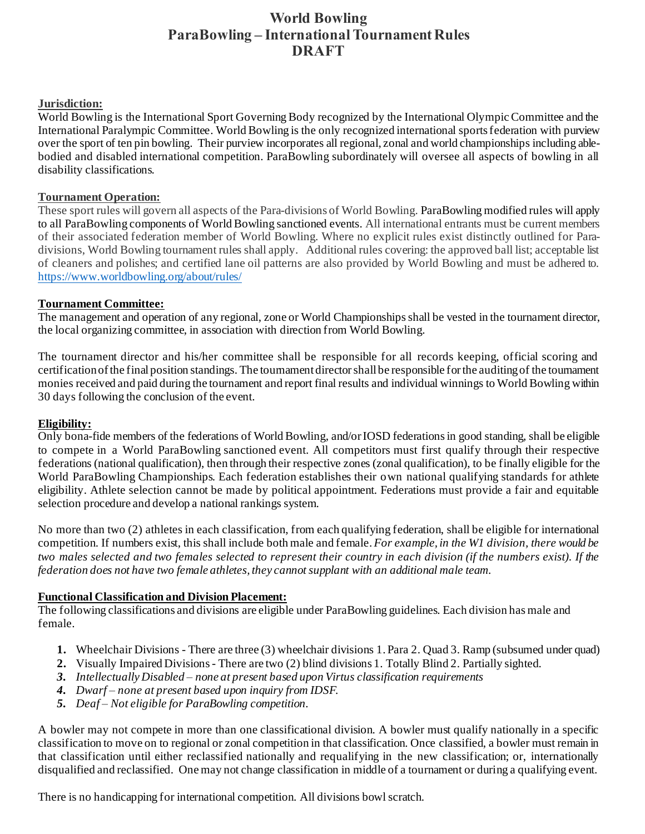# **World Bowling ParaBowling – International Tournament Rules DRAFT**

#### **Jurisdiction:**

World Bowling is the International Sport Governing Body recognized by the International Olympic Committee and the International Paralympic Committee. World Bowling is the only recognized international sports federation with purview over the sport of ten pin bowling. Their purview incorporates all regional, zonal and world championships including ablebodied and disabled international competition. ParaBowling subordinately will oversee all aspects of bowling in all disability classifications.

#### **Tournament Operation:**

These sport rules will govern all aspects of the Para-divisions of World Bowling. ParaBowling modified rules will apply to all ParaBowling components of World Bowling sanctioned events. All international entrants must be current members of their associated federation member of World Bowling. Where no explicit rules exist distinctly outlined for Paradivisions, World Bowling tournament rules shall apply. Additional rules covering: the approved ball list; acceptable list of cleaners and polishes; and certified lane oil patterns are also provided by World Bowling and must be adhered to. <https://www.worldbowling.org/about/rules/>

#### **Tournament Committee:**

The management and operation of any regional, zone or World Championshipsshall be vested in the tournament director, the local organizing committee, in association with direction from World Bowling.

The tournament director and his/her committee shall be responsible for all records keeping, official scoring and certificationof the final position standings. The tournament directorshall be responsible for the auditing of the tournament monies received and paid during the tournament and report final results and individual winnings to World Bowling within 30 days following the conclusion of the event.

#### **Eligibility:**

Only bona-fide members of the federations of World Bowling, and/or IOSD federations in good standing, shall be eligible to compete in a World ParaBowling sanctioned event. All competitors must first qualify through their respective federations (national qualification), then through their respective zones (zonal qualification), to be finally eligible for the World ParaBowling Championships. Each federation establishes their own national qualifying standards for athlete eligibility. Athlete selection cannot be made by political appointment. Federations must provide a fair and equitable selection procedure and develop a national rankings system.

No more than two (2) athletes in each classification, from each qualifying federation, shall be eligible for international competition. If numbers exist, this shall include both male and female. *For example, in the W1 division, there would be two males selected and two females selected to represent their country in each division (if the numbers exist). If the federation does not have two female athletes, they cannot supplant with an additional male team.* 

#### **Functional Classification and Division Placement:**

The following classifications and divisions are eligible under ParaBowling guidelines. Each division has male and female.

- **1.** Wheelchair Divisions There are three (3) wheelchair divisions 1. Para 2. Quad 3. Ramp (subsumed under quad)
- **2.** Visually Impaired Divisions There are two (2) blind divisions 1. Totally Blind 2. Partially sighted.
- *3. Intellectually Disabled – none at present based upon Virtus classification requirements*
- *4. Dwarf – none at present based upon inquiry from IDSF.*
- *5. Deaf – Not eligible for ParaBowling competition.*

A bowler may not compete in more than one classificational division. A bowler must qualify nationally in a specific classification to move on to regional or zonal competition in that classification. Once classified, a bowler must remain in that classification until either reclassified nationally and requalifying in the new classification; or, internationally disqualified and reclassified. One may not change classification in middle of a tournament or during a qualifying event.

There is no handicapping for international competition. All divisions bowl scratch.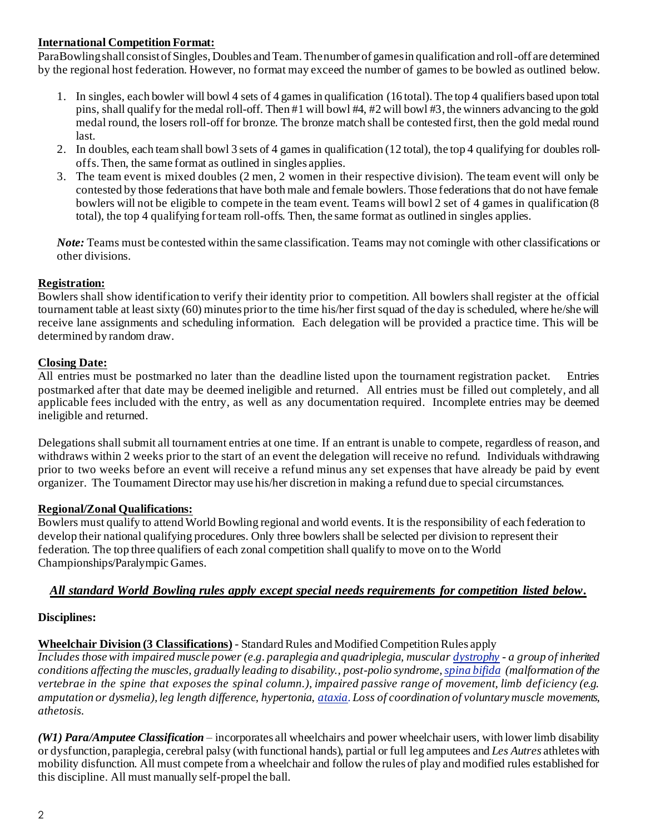# **International Competition Format:**

ParaBowling shall consist of Singles, Doubles and Team. The number of games in qualification and roll-off are determined by the regional host federation. However, no format may exceed the number of games to be bowled as outlined below.

- 1. In singles, each bowler will bowl 4 sets of 4 games in qualification (16 total). The top 4 qualifiers based upon total pins, shall qualify for the medal roll-off. Then #1 will bowl #4, #2 will bowl #3, the winners advancing to the gold medal round, the losers roll-off for bronze. The bronze match shall be contested first, then the gold medal round last.
- 2. In doubles, each team shall bowl 3 sets of 4 games in qualification (12 total), the top 4 qualifying for doubles rolloffs. Then, the same format as outlined in singles applies.
- 3. The team event is mixed doubles (2 men, 2 women in their respective division). The team event will only be contested by those federations that have both male and female bowlers. Those federations that do not have female bowlers will not be eligible to compete in the team event. Teams will bowl 2 set of 4 games in qualification (8 total), the top 4 qualifying for team roll-offs. Then, the same format as outlined in singles applies.

*Note:* Teams must be contested within the same classification. Teams may not comingle with other classifications or other divisions.

# **Registration:**

Bowlers shall show identification to verify their identity prior to competition. All bowlers shall register at the official tournament table at least sixty (60) minutes prior to the time his/her first squad of the day is scheduled, where he/she will receive lane assignments and scheduling information. Each delegation will be provided a practice time. This will be determined by random draw.

# **Closing Date:**

All entries must be postmarked no later than the deadline listed upon the tournament registration packet. Entries postmarked after that date may be deemed ineligible and returned. All entries must be filled out completely, and all applicable fees included with the entry, as well as any documentation required. Incomplete entries may be deemed ineligible and returned.

Delegations shall submit all tournament entries at one time. If an entrant is unable to compete, regardless of reason, and withdraws within 2 weeks prior to the start of an event the delegation will receive no refund. Individuals withdrawing prior to two weeks before an event will receive a refund minus any set expenses that have already be paid by event organizer. The Tournament Director may use his/her discretion in making a refund due to special circumstances.

# **Regional/Zonal Qualifications:**

Bowlers must qualify to attend World Bowling regional and world events. It is the responsibility of each federation to develop their national qualifying procedures. Only three bowlers shall be selected per division to represent their federation. The top three qualifiers of each zonal competition shall qualify to move on to the World Championships/Paralympic Games.

# *All standard World Bowling rules apply except special needs requirements for competition listed below.*

# **Disciplines:**

# **Wheelchair Division (3 Classifications)** - Standard Rules and Modified Competition Rules apply

*Includes those with impaired muscle power (e.g. paraplegia and quadriplegia, muscula[r dystrophy](https://www.bing.com/search?q=Muscular+Dystrophy&filters=sid%3a74c369e6-864c-e0d3-b2ed-6faa8acbd5db&form=ENTLNK) - a group of inherited conditions affecting the muscles, gradually leading to disability., post-polio syndrome[, spina bifida](https://www.bing.com/search?q=Spina+Bifida&filters=sid%3abc6f5d41-3af0-4bbd-20a5-e1fa2971becf&form=ENTLNK) (malformation of the vertebrae in the spine that exposes the spinal column.), impaired passive range of movement, limb deficiency (e.g. amputation or dysmelia), leg length difference, hypertonia[, ataxia](https://www.bing.com/search?q=Impaired+Coordination&filters=sid%3a18b56566-2f92-1ee3-6bfa-ea78133dd743&form=ENTLNK). Loss of coordination of voluntary muscle movements, athetosis.*

*(W1) Para/Amputee Classification* – incorporates all wheelchairs and power wheelchair users, with lower limb disability or dysfunction, paraplegia, cerebral palsy (with functional hands), partial or full leg amputees and *Les Autres* athletes with mobility disfunction. All must compete from a wheelchair and follow the rules of play and modified rules established for this discipline. All must manually self-propel the ball.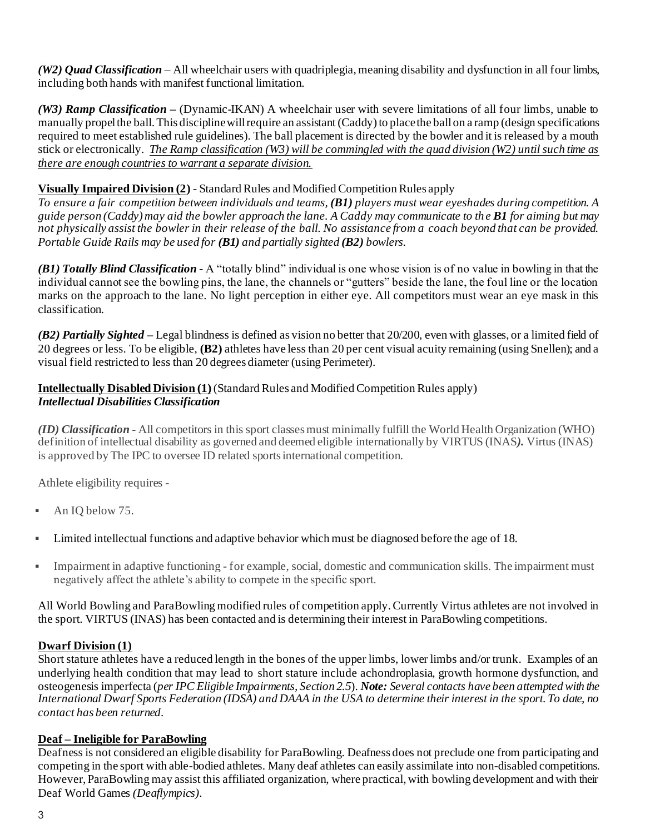*(W2) Quad Classification* – All wheelchair users with quadriplegia, meaning disability and dysfunction in all four limbs, including both hands with manifest functional limitation.

*(W3) Ramp Classification* – (Dynamic-IKAN) A wheelchair user with severe limitations of all four limbs, unable to manually propel the ball. This discipline will require an assistant(Caddy) to place the ball on a ramp (design specifications required to meet established rule guidelines). The ball placement is directed by the bowler and it is released by a mouth stick or electronically. *The Ramp classification (W3) will be commingled with the quad division (W2) until such time as there are enough countries to warrant a separate division.*

# **Visually Impaired Division (2)** - Standard Rules and Modified Competition Rules apply

*To ensure a fair competition between individuals and teams, (B1) players must wear eyeshades during competition. A guide person (Caddy) may aid the bowler approach the lane. A Caddy may communicate to th e B1 for aiming but may not physically assist the bowler in their release of the ball. No assistance from a coach beyond that can be provided. Portable Guide Rails may be used for (B1) and partially sighted (B2) bowlers.*

*(B1) Totally Blind Classification -* A "totally blind" individual is one whose vision is of no value in bowling in that the individual cannot see the bowling pins, the lane, the channels or "gutters" beside the lane, the foul line or the location marks on the approach to the lane. No light perception in either eye. All competitors must wear an eye mask in this classification.

*(B2) Partially Sighted –* Legal blindness is defined as vision no better that 20/200, even with glasses, or a limited field of 20 degrees or less. To be eligible, **(B2)** athletes have less than 20 per cent visual acuity remaining (using Snellen); and a visual field restricted to less than 20 degrees diameter (using Perimeter).

# **Intellectually Disabled Division (1)**(Standard Rules and Modified Competition Rules apply) *Intellectual Disabilities Classification*

*(ID) Classification -* All competitors in this sport classes must minimally fulfill the World Health Organization (WHO) definition of intellectual disability as governed and deemed eligible internationally by VIRTUS (INAS*).* Virtus (INAS) is approved by The IPC to oversee ID related sports international competition.

Athlete eligibility requires -

- An IO below 75.
- Limited intellectual functions and adaptive behavior which must be diagnosed before the age of 18.
- Impairment in adaptive functioning for example, social, domestic and communication skills. The impairment must negatively affect the athlete's ability to compete in the specific sport.

All World Bowling and ParaBowling modified rules of competition apply. Currently Virtus athletes are not involved in the sport. VIRTUS (INAS) has been contacted and is determining their interest in ParaBowling competitions.

# **Dwarf Division (1)**

Short stature athletes have a reduced length in the bones of the upper limbs, lower limbs and/or trunk. Examples of an underlying health condition that may lead to short stature include achondroplasia, growth hormone dysfunction, and osteogenesis imperfecta (*per IPC Eligible Impairments, Section 2.5*). *Note: Several contacts have been attempted with the International Dwarf Sports Federation (IDSA) and DAAA in the USA to determine their interest in the sport. To date, no contact has been returned.*

# **Deaf – Ineligible for ParaBowling**

Deafness is not considered an eligible disability for ParaBowling. Deafness does not preclude one from participating and competing in the sport with able-bodied athletes. Many deaf athletes can easily assimilate into non-disabled competitions. However, ParaBowling may assist this affiliated organization, where practical, with bowling development and with their Deaf World Games *(Deaflympics)*.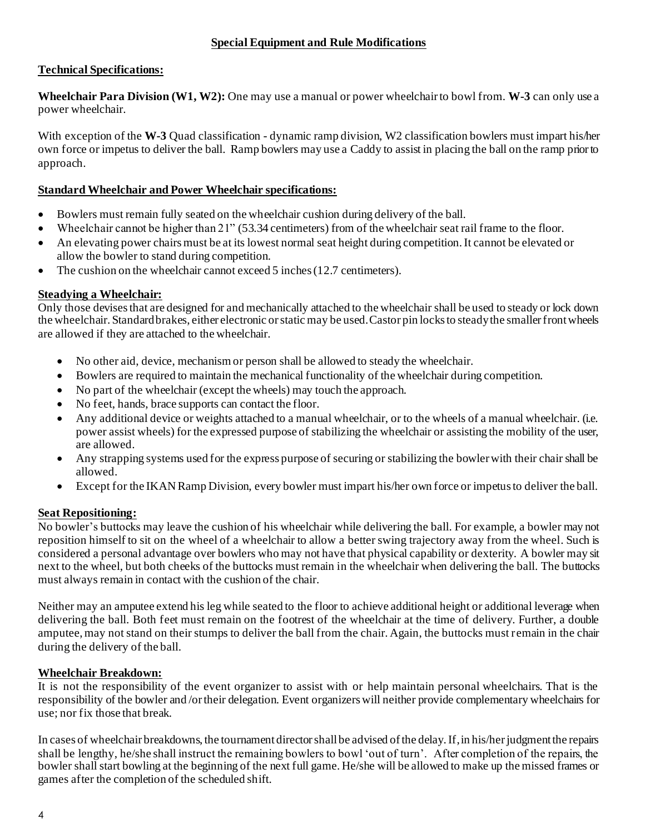#### **Special Equipment and Rule Modifications**

# **Technical Specifications:**

**Wheelchair Para Division (W1, W2):** One may use a manual or power wheelchair to bowl from. **W-3** can only use a power wheelchair.

With exception of the **W-3** Quad classification - dynamic ramp division, W2 classification bowlers must impart his/her own force or impetus to deliver the ball. Ramp bowlers may use a Caddy to assist in placing the ball on the ramp prior to approach.

#### **Standard Wheelchair and Power Wheelchair specifications:**

- Bowlers must remain fully seated on the wheelchair cushion during delivery of the ball.
- Wheelchair cannot be higher than 21" (53.34 centimeters) from of the wheelchair seat rail frame to the floor.
- An elevating power chairs must be at its lowest normal seat height during competition. It cannot be elevated or allow the bowler to stand during competition.
- The cushion on the wheelchair cannot exceed 5 inches (12.7 centimeters).

#### **Steadying a Wheelchair:**

Only those devises that are designed for and mechanically attached to the wheelchair shall be used to steady or lock down the wheelchair. Standard brakes, either electronic or static may be used. Castor pin locks to steady the smaller front wheels are allowed if they are attached to the wheelchair.

- No other aid, device, mechanism or person shall be allowed to steady the wheelchair.
- Bowlers are required to maintain the mechanical functionality of the wheelchair during competition.
- No part of the wheelchair (except the wheels) may touch the approach.
- No feet, hands, brace supports can contact the floor.
- Any additional device or weights attached to a manual wheelchair, or to the wheels of a manual wheelchair. (i.e. power assist wheels) for the expressed purpose of stabilizing the wheelchair or assisting the mobility of the user, are allowed.
- Any strapping systems used for the express purpose of securing or stabilizing the bowler with their chair shall be allowed.
- Except for the IKAN Ramp Division, every bowler must impart his/her own force or impetus to deliver the ball.

#### **Seat Repositioning:**

No bowler's buttocks may leave the cushion of his wheelchair while delivering the ball. For example, a bowler may not reposition himself to sit on the wheel of a wheelchair to allow a better swing trajectory away from the wheel. Such is considered a personal advantage over bowlers who may not have that physical capability or dexterity. A bowler may sit next to the wheel, but both cheeks of the buttocks must remain in the wheelchair when delivering the ball. The buttocks must always remain in contact with the cushion of the chair.

Neither may an amputee extend his leg while seated to the floor to achieve additional height or additional leverage when delivering the ball. Both feet must remain on the footrest of the wheelchair at the time of delivery. Further, a double amputee, may not stand on their stumps to deliver the ball from the chair. Again, the buttocks must remain in the chair during the delivery of the ball.

#### **Wheelchair Breakdown:**

It is not the responsibility of the event organizer to assist with or help maintain personal wheelchairs. That is the responsibility of the bowler and /or their delegation. Event organizers will neither provide complementary wheelchairs for use; nor fix those that break.

In cases of wheelchair breakdowns, the tournament director shall be advised of the delay. If, in his/her judgment the repairs shall be lengthy, he/she shall instruct the remaining bowlers to bowl 'out of turn'. After completion of the repairs, the bowler shall start bowling at the beginning of the next full game. He/she will be allowed to make up the missed frames or games after the completion of the scheduled shift.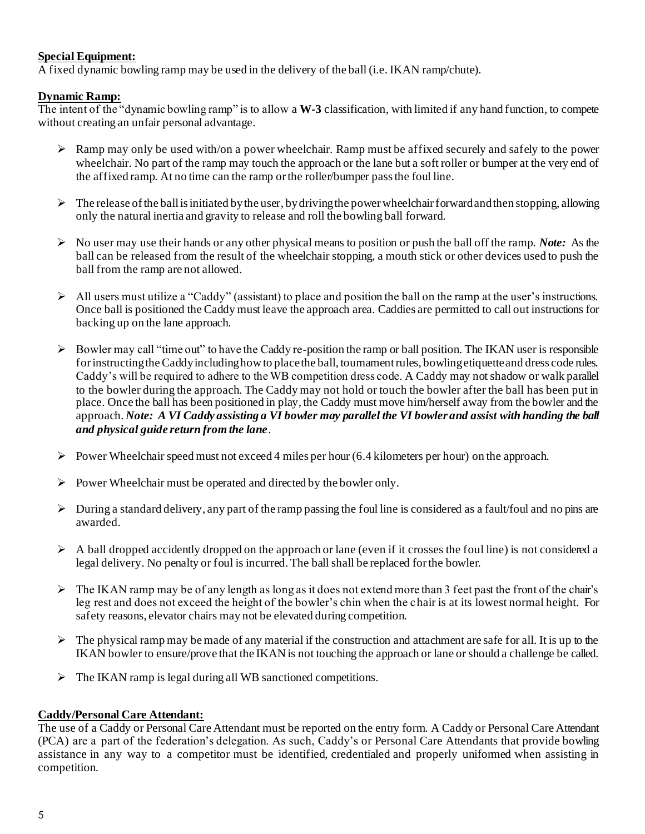#### **Special Equipment:**

A fixed dynamic bowling ramp may be used in the delivery of the ball (i.e. IKAN ramp/chute).

#### **Dynamic Ramp:**

The intent of the "dynamic bowling ramp" is to allow a **W-3** classification, with limited if any hand function, to compete without creating an unfair personal advantage.

- $\triangleright$  Ramp may only be used with/on a power wheelchair. Ramp must be affixed securely and safely to the power wheelchair. No part of the ramp may touch the approach or the lane but a soft roller or bumper at the very end of the affixed ramp. At no time can the ramp or the roller/bumper pass the foul line.
- $\triangleright$  The release of the ball is initiated by the user, by driving the power wheelchair forward and then stopping, allowing only the natural inertia and gravity to release and roll the bowling ball forward.
- ➢ No user may use their hands or any other physical means to position or push the ball off the ramp. *Note:* As the ball can be released from the result of the wheelchair stopping, a mouth stick or other devices used to push the ball from the ramp are not allowed.
- $\triangleright$  All users must utilize a "Caddy" (assistant) to place and position the ball on the ramp at the user's instructions. Once ball is positioned the Caddy must leave the approach area. Caddies are permitted to call out instructions for backing up on the lane approach.
- $\triangleright$  Bowler may call "time out" to have the Caddy re-position the ramp or ball position. The IKAN user is responsible for instructing the Caddy including how to place the ball, tournament rules, bowling etiquette and dress code rules. Caddy's will be required to adhere to the WB competition dress code. A Caddy may not shadow or walk parallel to the bowler during the approach. The Caddy may not hold or touch the bowler after the ball has been put in place. Once the ball has been positioned in play, the Caddy must move him/herself away from the bowler and the approach. *Note: A VI Caddy assisting a VI bowler may parallel the VI bowler and assist with handing the ball and physical guide return from the lane*.
- $\triangleright$  Power Wheelchair speed must not exceed 4 miles per hour (6.4 kilometers per hour) on the approach.
- $\triangleright$  Power Wheelchair must be operated and directed by the bowler only.
- ➢ During a standard delivery, any part of the ramp passing the foul line is considered as a fault/foul and no pins are awarded.
- $\triangleright$  A ball dropped accidently dropped on the approach or lane (even if it crosses the foul line) is not considered a legal delivery. No penalty or foul is incurred. The ball shall be replaced for the bowler.
- $\triangleright$  The IKAN ramp may be of any length as long as it does not extend more than 3 feet past the front of the chair's leg rest and does not exceed the height of the bowler's chin when the chair is at its lowest normal height. For safety reasons, elevator chairs may not be elevated during competition.
- $\triangleright$  The physical ramp may be made of any material if the construction and attachment are safe for all. It is up to the IKAN bowler to ensure/prove that the IKAN is not touching the approach or lane or should a challenge be called.
- ➢ The IKAN ramp is legal during all WB sanctioned competitions.

# **Caddy/Personal Care Attendant:**

The use of a Caddy or Personal Care Attendant must be reported on the entry form. A Caddy or Personal Care Attendant (PCA) are a part of the federation's delegation. As such, Caddy's or Personal Care Attendants that provide bowling assistance in any way to a competitor must be identified, credentialed and properly uniformed when assisting in competition.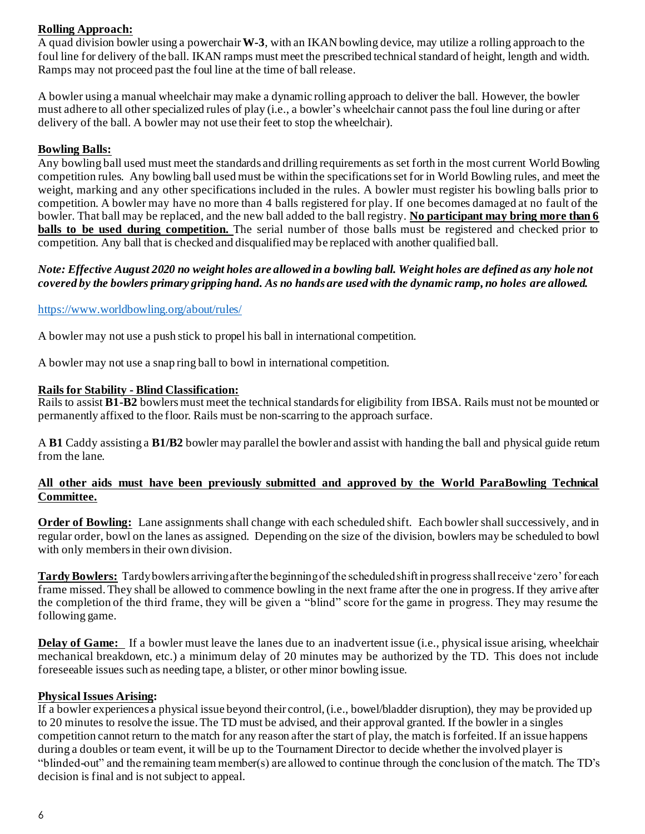# **Rolling Approach:**

A quad division bowler using a powerchair**W-3**, with an IKAN bowling device, may utilize a rolling approach to the foul line for delivery of the ball. IKAN ramps must meet the prescribed technical standard of height, length and width. Ramps may not proceed past the foul line at the time of ball release.

A bowler using a manual wheelchair may make a dynamic rolling approach to deliver the ball. However, the bowler must adhere to all other specialized rules of play (i.e., a bowler's wheelchair cannot pass the foul line during or after delivery of the ball. A bowler may not use their feet to stop the wheelchair).

# **Bowling Balls:**

Any bowling ball used must meet the standards and drilling requirements as set forth in the most current World Bowling competition rules. Any bowling ball used must be within the specifications set for in World Bowling rules, and meet the weight, marking and any other specifications included in the rules. A bowler must register his bowling balls prior to competition. A bowler may have no more than 4 balls registered for play. If one becomes damaged at no fault of the bowler. That ball may be replaced, and the new ball added to the ball registry. **No participant may bring more than 6 balls to be used during competition.** The serial number of those balls must be registered and checked prior to competition. Any ball that is checked and disqualified may be replaced with another qualified ball.

#### *Note: Effective August 2020 no weight holes are allowed in a bowling ball. Weight holes are defined as any hole not covered by the bowlers primary gripping hand. As no hands are used with the dynamic ramp, no holes are allowed.*

#### <https://www.worldbowling.org/about/rules/>

A bowler may not use a push stick to propel his ball in international competition.

A bowler may not use a snap ring ball to bowl in international competition.

#### **Rails for Stability - Blind Classification:**

Rails to assist **B1-B2** bowlers must meet the technical standards for eligibility from IBSA. Rails must not be mounted or permanently affixed to the floor. Rails must be non-scarring to the approach surface.

A **B1** Caddy assisting a **B1/B2** bowler may parallel the bowler and assist with handing the ball and physical guide return from the lane.

#### **All other aids must have been previously submitted and approved by the World ParaBowling Technical Committee.**

**Order of Bowling:** Lane assignments shall change with each scheduled shift. Each bowler shall successively, and in regular order, bowl on the lanes as assigned. Depending on the size of the division, bowlers may be scheduled to bowl with only members in their own division.

**Tardy Bowlers:** Tardy bowlers arriving after the beginning of the scheduled shift in progress shall receive 'zero' for each frame missed. They shall be allowed to commence bowling in the next frame after the one in progress. If they arrive after the completion of the third frame, they will be given a "blind" score for the game in progress. They may resume the following game.

**Delay of Game:** If a bowler must leave the lanes due to an inadvertent issue (i.e., physical issue arising, wheelchair mechanical breakdown, etc.) a minimum delay of 20 minutes may be authorized by the TD. This does not include foreseeable issues such as needing tape, a blister, or other minor bowling issue.

#### **Physical Issues Arising:**

If a bowler experiences a physical issue beyond their control, (i.e., bowel/bladder disruption), they may be provided up to 20 minutes to resolve the issue. The TD must be advised, and their approval granted. If the bowler in a singles competition cannot return to the match for any reason after the start of play, the match is forfeited. If an issue happens during a doubles or team event, it will be up to the Tournament Director to decide whether the involved player is "blinded-out" and the remaining team member(s) are allowed to continue through the conclusion of the match. The TD's decision is final and is not subject to appeal.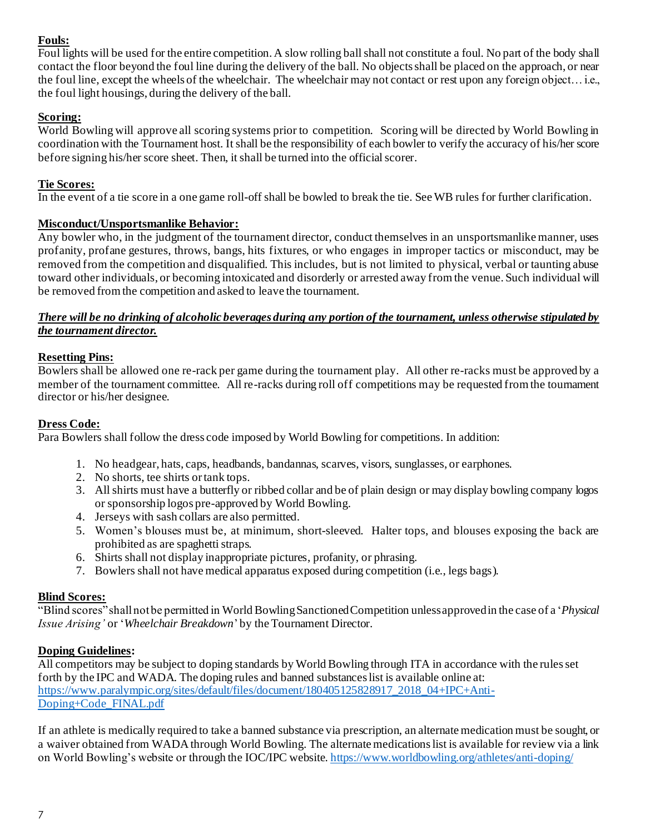# **Fouls:**

Foul lights will be used for the entire competition. A slow rolling ball shall not constitute a foul. No part of the body shall contact the floor beyond the foul line during the delivery of the ball. No objects shall be placed on the approach, or near the foul line, except the wheels of the wheelchair. The wheelchair may not contact or rest upon any foreign object… i.e., the foul light housings, during the delivery of the ball.

# **Scoring:**

World Bowling will approve all scoring systems prior to competition. Scoring will be directed by World Bowling in coordination with the Tournament host. Itshall be the responsibility of each bowler to verify the accuracy of his/her score before signing his/her score sheet. Then, it shall be turned into the official scorer.

# **Tie Scores:**

In the event of a tie score in a one game roll-off shall be bowled to break the tie. See WB rules for further clarification.

# **Misconduct/Unsportsmanlike Behavior:**

Any bowler who, in the judgment of the tournament director, conduct themselves in an unsportsmanlike manner, uses profanity, profane gestures, throws, bangs, hits fixtures, or who engages in improper tactics or misconduct, may be removed from the competition and disqualified. This includes, but is not limited to physical, verbal or taunting abuse toward other individuals, or becoming intoxicated and disorderly or arrested away from the venue. Such individual will be removed from the competition and asked to leave the tournament.

# *There will be no drinking of alcoholic beverages during any portion of the tournament, unless otherwise stipulated by the tournament director.*

# **Resetting Pins:**

Bowlers shall be allowed one re-rack per game during the tournament play. All other re-racks must be approved by a member of the tournament committee. All re-racks during roll off competitions may be requested from the tournament director or his/her designee.

# **Dress Code:**

Para Bowlers shall follow the dress code imposed by World Bowling for competitions. In addition:

- 1. No headgear, hats, caps, headbands, bandannas, scarves, visors, sunglasses, or earphones.
- 2. No shorts, tee shirts or tank tops.
- 3. All shirts must have a butterfly or ribbed collar and be of plain design or may display bowling company logos or sponsorship logos pre-approved by World Bowling.
- 4. Jerseys with sash collars are also permitted.
- 5. Women's blouses must be, at minimum, short-sleeved. Halter tops, and blouses exposing the back are prohibited as are spaghetti straps.
- 6. Shirts shall not display inappropriate pictures, profanity, or phrasing.
- 7. Bowlers shall not have medical apparatus exposed during competition (i.e., legs bags).

# **Blind Scores:**

"Blind scores" shall not be permitted in World Bowling Sanctioned Competition unless approved in the case of a '*Physical Issue Arising'* or '*Wheelchair Breakdown*' by the Tournament Director.

# **Doping Guidelines:**

All competitors may be subject to doping standards by World Bowling through ITA in accordance with the rules set forth by the IPC and WADA. The doping rules and banned substances list is available online at: [https://www.paralympic.org/sites/default/files/document/180405125828917\\_2018\\_04+IPC+Anti-](https://www.paralympic.org/sites/default/files/document/180405125828917_2018_04+IPC+Anti-Doping+Code_FINAL.pdf)[Doping+Code\\_FINAL.pdf](https://www.paralympic.org/sites/default/files/document/180405125828917_2018_04+IPC+Anti-Doping+Code_FINAL.pdf)

If an athlete is medically required to take a banned substance via prescription, an alternate medication must be sought, or a waiver obtained from WADA through World Bowling. The alternate medications list is available for review via a link on World Bowling's website or through the IOC/IPC website[. https://www.worldbowling.org/athletes/anti-doping/](https://www.worldbowling.org/athletes/anti-doping/)